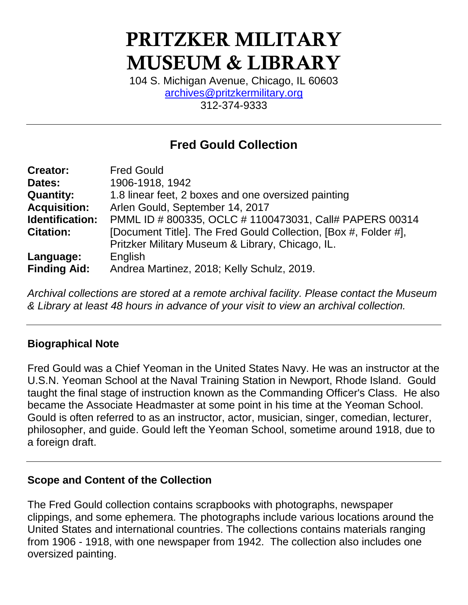# PRITZKER MILITARY MUSEUM & LIBRARY

104 S. Michigan Avenue, Chicago, IL 60603 [archives@pritzkermilitary.org](mailto:archives@pritzkermilitary.org) 312-374-9333

# **Fred Gould Collection**

| <b>Creator:</b>     | <b>Fred Gould</b>                                               |
|---------------------|-----------------------------------------------------------------|
| Dates:              | 1906-1918, 1942                                                 |
| <b>Quantity:</b>    | 1.8 linear feet, 2 boxes and one oversized painting             |
| <b>Acquisition:</b> | Arlen Gould, September 14, 2017                                 |
| Identification:     | PMML ID # 800335, OCLC # 1100473031, Call# PAPERS 00314         |
| <b>Citation:</b>    | [Document Title]. The Fred Gould Collection, [Box #, Folder #], |
|                     | Pritzker Military Museum & Library, Chicago, IL.                |
| Language:           | English                                                         |
| <b>Finding Aid:</b> | Andrea Martinez, 2018; Kelly Schulz, 2019.                      |

*Archival collections are stored at a remote archival facility. Please contact the Museum & Library at least 48 hours in advance of your visit to view an archival collection.*

### **Biographical Note**

Fred Gould was a Chief Yeoman in the United States Navy. He was an instructor at the U.S.N. Yeoman School at the Naval Training Station in Newport, Rhode Island. Gould taught the final stage of instruction known as the Commanding Officer's Class. He also became the Associate Headmaster at some point in his time at the Yeoman School. Gould is often referred to as an instructor, actor, musician, singer, comedian, lecturer, philosopher, and guide. Gould left the Yeoman School, sometime around 1918, due to a foreign draft.

### **Scope and Content of the Collection**

The Fred Gould collection contains scrapbooks with photographs, newspaper clippings, and some ephemera. The photographs include various locations around the United States and international countries. The collections contains materials ranging from 1906 - 1918, with one newspaper from 1942. The collection also includes one oversized painting.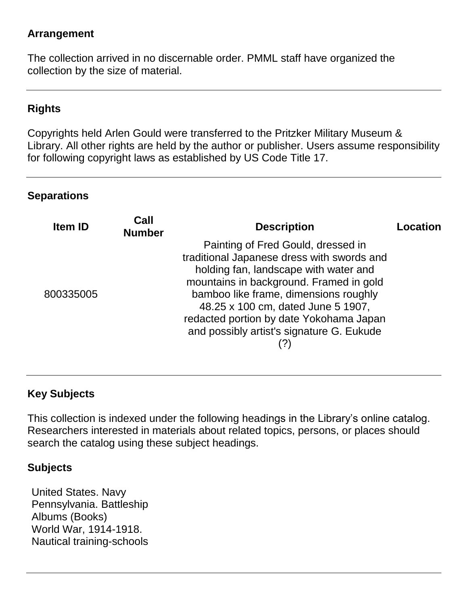#### **Arrangement**

The collection arrived in no discernable order. PMML staff have organized the collection by the size of material.

## **Rights**

Copyrights held Arlen Gould were transferred to the Pritzker Military Museum & Library. All other rights are held by the author or publisher. Users assume responsibility for following copyright laws as established by US Code Title 17.

#### **Separations**

| <b>Item ID</b> | Call<br><b>Number</b> | <b>Description</b>                                                                                                                                                                                                                                                                                                                          | Location |
|----------------|-----------------------|---------------------------------------------------------------------------------------------------------------------------------------------------------------------------------------------------------------------------------------------------------------------------------------------------------------------------------------------|----------|
| 800335005      |                       | Painting of Fred Gould, dressed in<br>traditional Japanese dress with swords and<br>holding fan, landscape with water and<br>mountains in background. Framed in gold<br>bamboo like frame, dimensions roughly<br>48.25 x 100 cm, dated June 5 1907,<br>redacted portion by date Yokohama Japan<br>and possibly artist's signature G. Eukude |          |

### **Key Subjects**

This collection is indexed under the following headings in the Library's online catalog. Researchers interested in materials about related topics, persons, or places should search the catalog using these subject headings.

### **Subjects**

United States. Navy Pennsylvania. Battleship Albums (Books) World War, 1914-1918. Nautical training-schools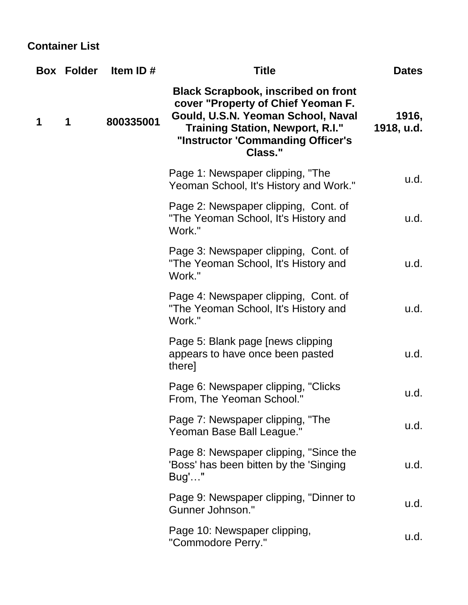## **Container List**

|   | <b>Box Folder</b> | Item ID#  | Title                                                                                                                                                                                                             | <b>Dates</b>        |
|---|-------------------|-----------|-------------------------------------------------------------------------------------------------------------------------------------------------------------------------------------------------------------------|---------------------|
| 1 | 1                 | 800335001 | <b>Black Scrapbook, inscribed on front</b><br>cover "Property of Chief Yeoman F.<br>Gould, U.S.N. Yeoman School, Naval<br><b>Training Station, Newport, R.I."</b><br>"Instructor 'Commanding Officer's<br>Class." | 1916,<br>1918, u.d. |
|   |                   |           | Page 1: Newspaper clipping, "The<br>Yeoman School, It's History and Work."                                                                                                                                        | u.d.                |
|   |                   |           | Page 2: Newspaper clipping, Cont. of<br>"The Yeoman School, It's History and<br>Work."                                                                                                                            | u.d.                |
|   |                   |           | Page 3: Newspaper clipping, Cont. of<br>"The Yeoman School, It's History and<br>Work."                                                                                                                            | u.d.                |
|   |                   |           | Page 4: Newspaper clipping, Cont. of<br>"The Yeoman School, It's History and<br>Work."                                                                                                                            | u.d.                |
|   |                   |           | Page 5: Blank page [news clipping]<br>appears to have once been pasted<br>there]                                                                                                                                  | u.d.                |
|   |                   |           | Page 6: Newspaper clipping, "Clicks"<br>From, The Yeoman School."                                                                                                                                                 | u.d.                |
|   |                   |           | Page 7: Newspaper clipping, "The<br>Yeoman Base Ball League."                                                                                                                                                     | u.d.                |
|   |                   |           | Page 8: Newspaper clipping, "Since the<br>'Boss' has been bitten by the 'Singing<br>Bug'"                                                                                                                         | u.d.                |
|   |                   |           | Page 9: Newspaper clipping, "Dinner to<br>Gunner Johnson."                                                                                                                                                        | u.d.                |
|   |                   |           | Page 10: Newspaper clipping,<br>"Commodore Perry."                                                                                                                                                                | u.d.                |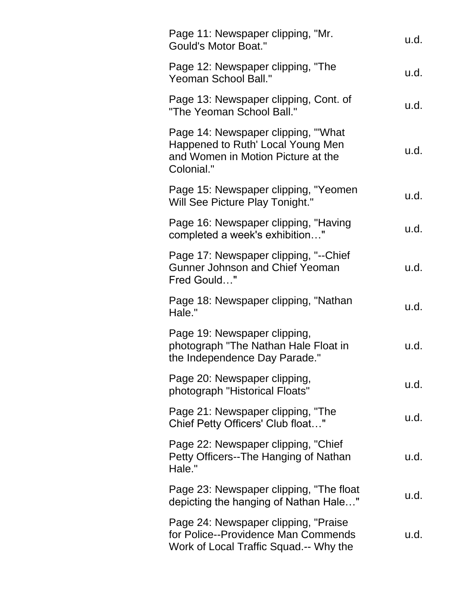| Page 11: Newspaper clipping, "Mr.<br><b>Gould's Motor Boat."</b>                                                            | u.d. |
|-----------------------------------------------------------------------------------------------------------------------------|------|
| Page 12: Newspaper clipping, "The<br><b>Yeoman School Ball."</b>                                                            | u.d. |
| Page 13: Newspaper clipping, Cont. of<br>"The Yeoman School Ball."                                                          | u.d. |
| Page 14: Newspaper clipping, "What<br>Happened to Ruth' Local Young Men<br>and Women in Motion Picture at the<br>Colonial." | u.d. |
| Page 15: Newspaper clipping, "Yeomen"<br>Will See Picture Play Tonight."                                                    | u.d. |
| Page 16: Newspaper clipping, "Having<br>completed a week's exhibition"                                                      | u.d. |
| Page 17: Newspaper clipping, "--Chief<br><b>Gunner Johnson and Chief Yeoman</b><br>Fred Gould"                              | u.d. |
| Page 18: Newspaper clipping, "Nathan<br>Hale."                                                                              | u.d. |
| Page 19: Newspaper clipping,<br>photograph "The Nathan Hale Float in<br>the Independence Day Parade."                       | u.d. |
| Page 20: Newspaper clipping,<br>photograph "Historical Floats"                                                              | u.d. |
| Page 21: Newspaper clipping, "The<br>Chief Petty Officers' Club float"                                                      | u.d. |
| Page 22: Newspaper clipping, "Chief"<br>Petty Officers--The Hanging of Nathan<br>Hale."                                     | u.d. |
| Page 23: Newspaper clipping, "The float<br>depicting the hanging of Nathan Hale"                                            | u.d. |
| Page 24: Newspaper clipping, "Praise<br>for Police--Providence Man Commends<br>Work of Local Traffic Squad.-- Why the       | u.d. |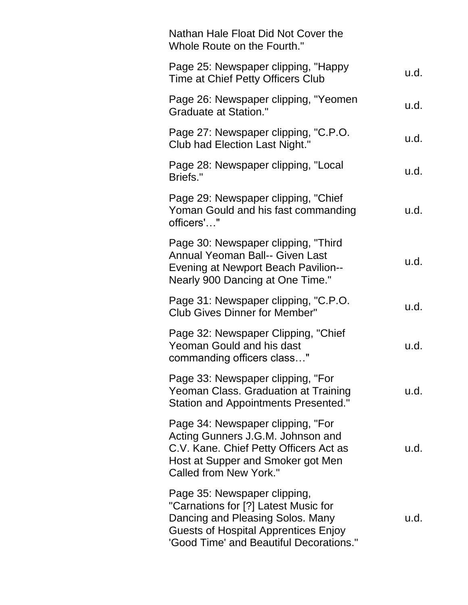| Nathan Hale Float Did Not Cover the<br>Whole Route on the Fourth."                                                                                                                                 |      |
|----------------------------------------------------------------------------------------------------------------------------------------------------------------------------------------------------|------|
| Page 25: Newspaper clipping, "Happy<br>Time at Chief Petty Officers Club                                                                                                                           | u.d. |
| Page 26: Newspaper clipping, "Yeomen"<br><b>Graduate at Station."</b>                                                                                                                              | u.d. |
| Page 27: Newspaper clipping, "C.P.O.<br>Club had Election Last Night."                                                                                                                             | u.d. |
| Page 28: Newspaper clipping, "Local<br>Briefs."                                                                                                                                                    | u.d. |
| Page 29: Newspaper clipping, "Chief<br>Yoman Gould and his fast commanding<br>officers'"                                                                                                           | u.d. |
| Page 30: Newspaper clipping, "Third<br><b>Annual Yeoman Ball-- Given Last</b><br><b>Evening at Newport Beach Pavilion--</b><br>Nearly 900 Dancing at One Time."                                    | u.d. |
| Page 31: Newspaper clipping, "C.P.O.<br><b>Club Gives Dinner for Member"</b>                                                                                                                       | u.d. |
| Page 32: Newspaper Clipping, "Chief"<br><b>Yeoman Gould and his dast</b><br>commanding officers class"                                                                                             | u.d. |
| Page 33: Newspaper clipping, "For<br>Yeoman Class. Graduation at Training<br>Station and Appointments Presented."                                                                                  | u.d. |
| Page 34: Newspaper clipping, "For<br>Acting Gunners J.G.M. Johnson and<br>C.V. Kane. Chief Petty Officers Act as<br>Host at Supper and Smoker got Men<br>Called from New York."                    | u.d. |
| Page 35: Newspaper clipping,<br>"Carnations for [?] Latest Music for<br>Dancing and Pleasing Solos. Many<br><b>Guests of Hospital Apprentices Enjoy</b><br>'Good Time' and Beautiful Decorations." | u.d. |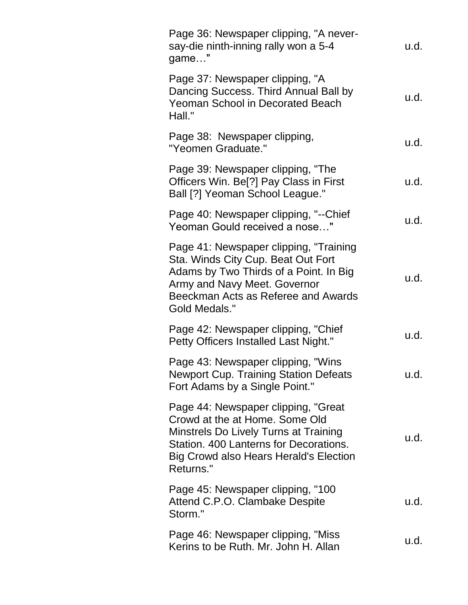| Page 36: Newspaper clipping, "A never-<br>say-die ninth-inning rally won a 5-4<br>game"                                                                                                                                | u.d. |
|------------------------------------------------------------------------------------------------------------------------------------------------------------------------------------------------------------------------|------|
| Page 37: Newspaper clipping, "A<br>Dancing Success. Third Annual Ball by<br><b>Yeoman School in Decorated Beach</b><br>Hall."                                                                                          | u.d. |
| Page 38: Newspaper clipping,<br>"Yeomen Graduate."                                                                                                                                                                     | u.d. |
| Page 39: Newspaper clipping, "The<br>Officers Win. Be <sup>[?]</sup> Pay Class in First<br>Ball [?] Yeoman School League."                                                                                             | u.d. |
| Page 40: Newspaper clipping, "--Chief<br>Yeoman Gould received a nose"                                                                                                                                                 | u.d. |
| Page 41: Newspaper clipping, "Training<br>Sta. Winds City Cup. Beat Out Fort<br>Adams by Two Thirds of a Point. In Big<br>Army and Navy Meet. Governor<br>Beeckman Acts as Referee and Awards<br><b>Gold Medals."</b>  | u.d. |
| Page 42: Newspaper clipping, "Chief<br>Petty Officers Installed Last Night."                                                                                                                                           | u.d. |
| Page 43: Newspaper clipping, "Wins<br>Newport Cup. Training Station Defeats<br>Fort Adams by a Single Point."                                                                                                          | u.d. |
| Page 44: Newspaper clipping, "Great<br>Crowd at the at Home. Some Old<br>Minstrels Do Lively Turns at Training<br>Station, 400 Lanterns for Decorations.<br><b>Big Crowd also Hears Herald's Election</b><br>Returns." | u.d. |
| Page 45: Newspaper clipping, "100<br>Attend C.P.O. Clambake Despite<br>Storm."                                                                                                                                         | u.d. |
| Page 46: Newspaper clipping, "Miss"<br>Kerins to be Ruth. Mr. John H. Allan                                                                                                                                            | u.d. |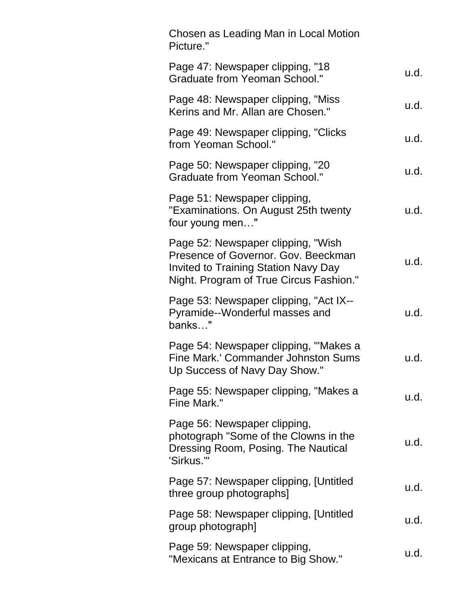| Chosen as Leading Man in Local Motion<br>Picture."                                                                                                                  |      |
|---------------------------------------------------------------------------------------------------------------------------------------------------------------------|------|
| Page 47: Newspaper clipping, "18<br><b>Graduate from Yeoman School."</b>                                                                                            | u.d. |
| Page 48: Newspaper clipping, "Miss"<br>Kerins and Mr. Allan are Chosen."                                                                                            | u.d. |
| Page 49: Newspaper clipping, "Clicks"<br>from Yeoman School."                                                                                                       | u.d. |
| Page 50: Newspaper clipping, "20<br><b>Graduate from Yeoman School."</b>                                                                                            | u.d. |
| Page 51: Newspaper clipping,<br>"Examinations. On August 25th twenty<br>four young men"                                                                             | u.d. |
| Page 52: Newspaper clipping, "Wish<br>Presence of Governor. Gov. Beeckman<br><b>Invited to Training Station Navy Day</b><br>Night. Program of True Circus Fashion." | u.d. |
| Page 53: Newspaper clipping, "Act IX--<br>Pyramide--Wonderful masses and<br>banks"                                                                                  | u.d. |
| Page 54: Newspaper clipping, "Makes a<br>Fine Mark.' Commander Johnston Sums<br>Up Success of Navy Day Show."                                                       | u.d. |
| Page 55: Newspaper clipping, "Makes a<br>Fine Mark."                                                                                                                | u.d. |
| Page 56: Newspaper clipping,<br>photograph "Some of the Clowns in the<br>Dressing Room, Posing. The Nautical<br>'Sirkus.'"                                          | u.d. |
| Page 57: Newspaper clipping, [Untitled<br>three group photographs]                                                                                                  | u.d. |
| Page 58: Newspaper clipping, [Untitled<br>group photograph]                                                                                                         | u.d. |
| Page 59: Newspaper clipping,<br>"Mexicans at Entrance to Big Show."                                                                                                 | u.d. |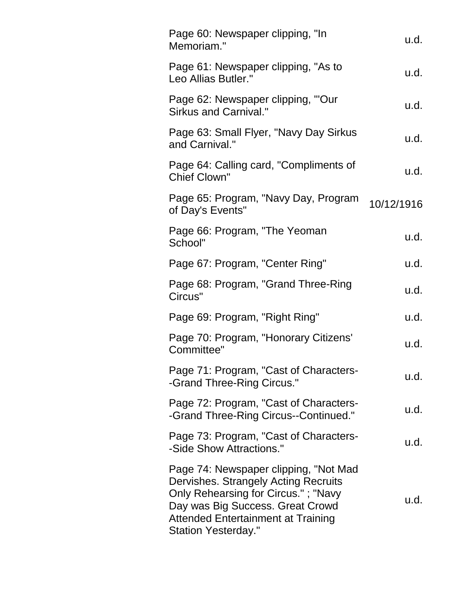| Page 60: Newspaper clipping, "In<br>Memoriam."                                                                                                                                                                                      | u.d.       |
|-------------------------------------------------------------------------------------------------------------------------------------------------------------------------------------------------------------------------------------|------------|
| Page 61: Newspaper clipping, "As to<br>Leo Allias Butler."                                                                                                                                                                          | u.d.       |
| Page 62: Newspaper clipping, "'Our<br>Sirkus and Carnival."                                                                                                                                                                         | u.d.       |
| Page 63: Small Flyer, "Navy Day Sirkus<br>and Carnival."                                                                                                                                                                            | u.d.       |
| Page 64: Calling card, "Compliments of<br><b>Chief Clown"</b>                                                                                                                                                                       | u.d.       |
| Page 65: Program, "Navy Day, Program<br>of Day's Events"                                                                                                                                                                            | 10/12/1916 |
| Page 66: Program, "The Yeoman"<br>School"                                                                                                                                                                                           | u.d.       |
| Page 67: Program, "Center Ring"                                                                                                                                                                                                     | u.d.       |
| Page 68: Program, "Grand Three-Ring<br>Circus"                                                                                                                                                                                      | u.d.       |
| Page 69: Program, "Right Ring"                                                                                                                                                                                                      | u.d.       |
| Page 70: Program, "Honorary Citizens'<br>Committee"                                                                                                                                                                                 | u.d.       |
| Page 71: Program, "Cast of Characters<br>-Grand Three-Ring Circus."                                                                                                                                                                 | u.d.       |
| Page 72: Program, "Cast of Characters-<br>-Grand Three-Ring Circus--Continued."                                                                                                                                                     | u.d.       |
| Page 73: Program, "Cast of Characters-<br>-Side Show Attractions."                                                                                                                                                                  | u.d.       |
| Page 74: Newspaper clipping, "Not Mad<br>Dervishes. Strangely Acting Recruits<br>Only Rehearsing for Circus."; "Navy<br>Day was Big Success. Great Crowd<br><b>Attended Entertainment at Training</b><br><b>Station Yesterday."</b> | u.d.       |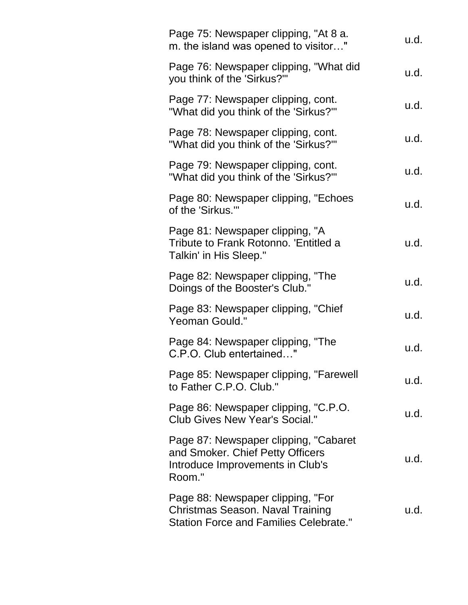| Page 75: Newspaper clipping, "At 8 a.<br>m. the island was opened to visitor"                                            | u.d. |
|--------------------------------------------------------------------------------------------------------------------------|------|
| Page 76: Newspaper clipping, "What did<br>you think of the 'Sirkus?'"                                                    | u.d. |
| Page 77: Newspaper clipping, cont.<br>"What did you think of the 'Sirkus?'"                                              | u.d. |
| Page 78: Newspaper clipping, cont.<br>"What did you think of the 'Sirkus?'"                                              | u.d. |
| Page 79: Newspaper clipping, cont.<br>"What did you think of the 'Sirkus?'"                                              | u.d. |
| Page 80: Newspaper clipping, "Echoes"<br>of the 'Sirkus.""                                                               | u.d. |
| Page 81: Newspaper clipping, "A<br>Tribute to Frank Rotonno. 'Entitled a<br>Talkin' in His Sleep."                       | u.d. |
| Page 82: Newspaper clipping, "The<br>Doings of the Booster's Club."                                                      | u.d. |
| Page 83: Newspaper clipping, "Chief<br>Yeoman Gould."                                                                    | u.d. |
| Page 84: Newspaper clipping, "The<br>C.P.O. Club entertained"                                                            | u.d. |
| Page 85: Newspaper clipping, "Farewell<br>to Father C.P.O. Club."                                                        | u.d. |
| Page 86: Newspaper clipping, "C.P.O.<br><b>Club Gives New Year's Social."</b>                                            | u.d. |
| Page 87: Newspaper clipping, "Cabaret"<br>and Smoker. Chief Petty Officers<br>Introduce Improvements in Club's<br>Room." | u.d. |
| Page 88: Newspaper clipping, "For<br>Christmas Season. Naval Training<br><b>Station Force and Families Celebrate."</b>   | u.d. |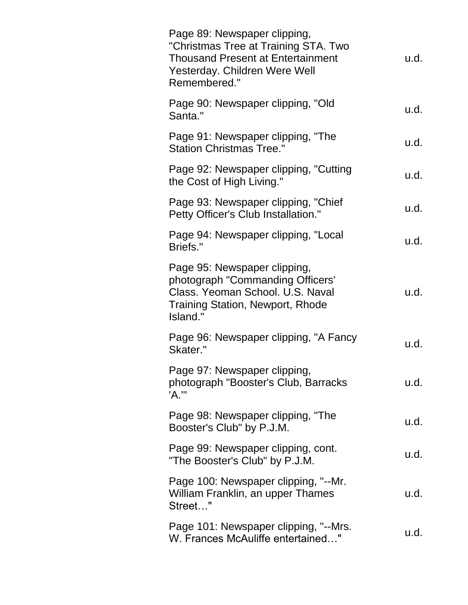| Page 89: Newspaper clipping,<br>"Christmas Tree at Training STA. Two<br><b>Thousand Present at Entertainment</b><br>Yesterday. Children Were Well<br>Remembered." | u.d. |
|-------------------------------------------------------------------------------------------------------------------------------------------------------------------|------|
| Page 90: Newspaper clipping, "Old<br>Santa."                                                                                                                      | u.d. |
| Page 91: Newspaper clipping, "The<br><b>Station Christmas Tree."</b>                                                                                              | u.d. |
| Page 92: Newspaper clipping, "Cutting<br>the Cost of High Living."                                                                                                | u.d. |
| Page 93: Newspaper clipping, "Chief<br>Petty Officer's Club Installation."                                                                                        | u.d. |
| Page 94: Newspaper clipping, "Local<br>Briefs."                                                                                                                   | u.d. |
| Page 95: Newspaper clipping,<br>photograph "Commanding Officers'<br>Class. Yeoman School. U.S. Naval<br><b>Training Station, Newport, Rhode</b><br>Island."       | u.d. |
| Page 96: Newspaper clipping, "A Fancy<br>Skater."                                                                                                                 | u.d. |
| Page 97: Newspaper clipping,<br>photograph "Booster's Club, Barracks<br>'A.'"                                                                                     | u.d. |
| Page 98: Newspaper clipping, "The<br>Booster's Club" by P.J.M.                                                                                                    | u.d. |
| Page 99: Newspaper clipping, cont.<br>"The Booster's Club" by P.J.M.                                                                                              | u.d. |
| Page 100: Newspaper clipping, "--Mr.<br>William Franklin, an upper Thames<br>Street"                                                                              | u.d. |
| Page 101: Newspaper clipping, "--Mrs.<br>W. Frances McAuliffe entertained"                                                                                        | u.d. |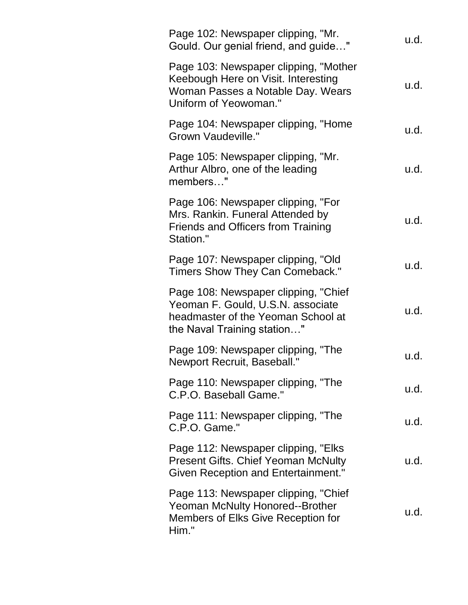| Page 102: Newspaper clipping, "Mr.<br>Gould. Our genial friend, and guide"                                                                     | u.d. |
|------------------------------------------------------------------------------------------------------------------------------------------------|------|
| Page 103: Newspaper clipping, "Mother<br>Keebough Here on Visit. Interesting<br>Woman Passes a Notable Day. Wears<br>Uniform of Yeowoman."     | u.d. |
| Page 104: Newspaper clipping, "Home<br><b>Grown Vaudeville."</b>                                                                               | u.d. |
| Page 105: Newspaper clipping, "Mr.<br>Arthur Albro, one of the leading<br>members"                                                             | u.d. |
| Page 106: Newspaper clipping, "For<br>Mrs. Rankin. Funeral Attended by<br><b>Friends and Officers from Training</b><br>Station."               | u.d. |
| Page 107: Newspaper clipping, "Old<br>Timers Show They Can Comeback."                                                                          | u.d. |
| Page 108: Newspaper clipping, "Chief<br>Yeoman F. Gould, U.S.N. associate<br>headmaster of the Yeoman School at<br>the Naval Training station" | u.d. |
| Page 109: Newspaper clipping, "The<br>Newport Recruit, Baseball."                                                                              | u.d. |
| Page 110: Newspaper clipping, "The<br>C.P.O. Baseball Game."                                                                                   | u.d. |
| Page 111: Newspaper clipping, "The<br>C.P.O. Game."                                                                                            | u.d. |
| Page 112: Newspaper clipping, "Elks"<br><b>Present Gifts. Chief Yeoman McNulty</b><br><b>Given Reception and Entertainment."</b>               | u.d. |
| Page 113: Newspaper clipping, "Chief"<br>Yeoman McNulty Honored--Brother<br>Members of Elks Give Reception for<br>Him."                        | u.d. |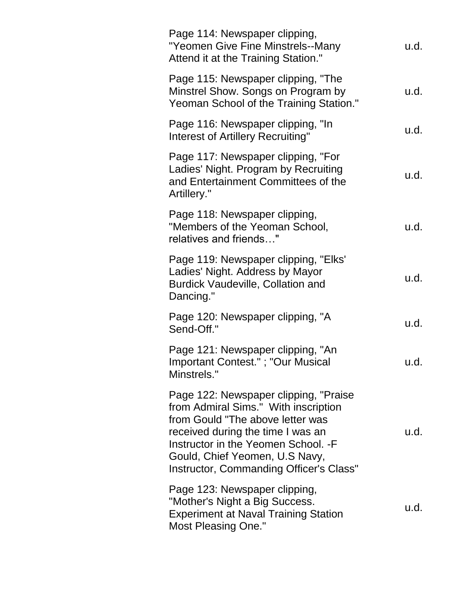| Page 114: Newspaper clipping,<br>"Yeomen Give Fine Minstrels--Many<br>Attend it at the Training Station."                                                                                                                                                                    | u.d. |
|------------------------------------------------------------------------------------------------------------------------------------------------------------------------------------------------------------------------------------------------------------------------------|------|
| Page 115: Newspaper clipping, "The<br>Minstrel Show. Songs on Program by<br>Yeoman School of the Training Station."                                                                                                                                                          | u.d. |
| Page 116: Newspaper clipping, "In<br>Interest of Artillery Recruiting"                                                                                                                                                                                                       | u.d. |
| Page 117: Newspaper clipping, "For<br>Ladies' Night. Program by Recruiting<br>and Entertainment Committees of the<br>Artillery."                                                                                                                                             | u.d. |
| Page 118: Newspaper clipping,<br>"Members of the Yeoman School,<br>relatives and friends"                                                                                                                                                                                    | u.d. |
| Page 119: Newspaper clipping, "Elks"<br>Ladies' Night. Address by Mayor<br><b>Burdick Vaudeville, Collation and</b><br>Dancing."                                                                                                                                             | u.d. |
| Page 120: Newspaper clipping, "A<br>Send-Off."                                                                                                                                                                                                                               | u.d. |
| Page 121: Newspaper clipping, "An<br>Important Contest."; "Our Musical<br>Minstrels."                                                                                                                                                                                        | u.d. |
| Page 122: Newspaper clipping, "Praise"<br>from Admiral Sims." With inscription<br>from Gould "The above letter was<br>received during the time I was an<br>Instructor in the Yeomen School. - F<br>Gould, Chief Yeomen, U.S Navy,<br>Instructor, Commanding Officer's Class" | u.d. |
| Page 123: Newspaper clipping,<br>"Mother's Night a Big Success.<br><b>Experiment at Naval Training Station</b><br><b>Most Pleasing One."</b>                                                                                                                                 | u.d. |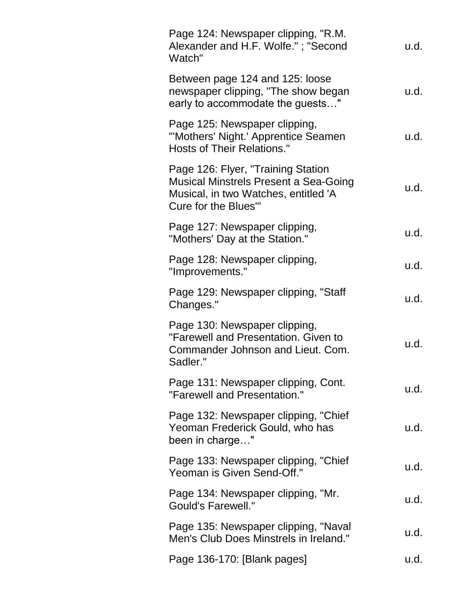| Page 124: Newspaper clipping, "R.M.<br>Alexander and H.F. Wolfe."; "Second<br>Watch"                                                              | u.d. |
|---------------------------------------------------------------------------------------------------------------------------------------------------|------|
| Between page 124 and 125: loose<br>newspaper clipping, "The show began<br>early to accommodate the guests"                                        | u.d. |
| Page 125: Newspaper clipping,<br>"'Mothers' Night.' Apprentice Seamen<br><b>Hosts of Their Relations."</b>                                        | u.d. |
| Page 126: Flyer, "Training Station<br><b>Musical Minstrels Present a Sea-Going</b><br>Musical, in two Watches, entitled 'A<br>Cure for the Blues" | u.d. |
| Page 127: Newspaper clipping,<br>"Mothers' Day at the Station."                                                                                   | u.d. |
| Page 128: Newspaper clipping,<br>"Improvements."                                                                                                  | u.d. |
| Page 129: Newspaper clipping, "Staff<br>Changes."                                                                                                 | u.d. |
| Page 130: Newspaper clipping,<br>"Farewell and Presentation. Given to<br>Commander Johnson and Lieut. Com.<br>Sadler."                            | u.d. |
| Page 131: Newspaper clipping, Cont.<br>"Farewell and Presentation."                                                                               | u.d. |
| Page 132: Newspaper clipping, "Chief<br>Yeoman Frederick Gould, who has<br>been in charge"                                                        | u.d. |
| Page 133: Newspaper clipping, "Chief<br>Yeoman is Given Send-Off."                                                                                | u.d. |
| Page 134: Newspaper clipping, "Mr.<br><b>Gould's Farewell."</b>                                                                                   | u.d. |
| Page 135: Newspaper clipping, "Naval<br>Men's Club Does Minstrels in Ireland."                                                                    | u.d. |
| Page 136-170: [Blank pages]                                                                                                                       | u.d. |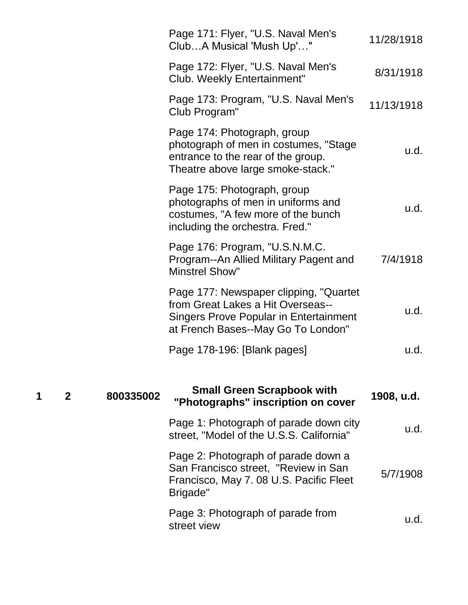|   |              |           | Page 171: Flyer, "U.S. Naval Men's<br>ClubA Musical 'Mush Up'"                                                                                                      | 11/28/1918 |
|---|--------------|-----------|---------------------------------------------------------------------------------------------------------------------------------------------------------------------|------------|
|   |              |           | Page 172: Flyer, "U.S. Naval Men's<br>Club. Weekly Entertainment"                                                                                                   | 8/31/1918  |
|   |              |           | Page 173: Program, "U.S. Naval Men's<br>Club Program"                                                                                                               | 11/13/1918 |
|   |              |           | Page 174: Photograph, group<br>photograph of men in costumes, "Stage<br>entrance to the rear of the group.<br>Theatre above large smoke-stack."                     | u.d.       |
|   |              |           | Page 175: Photograph, group<br>photographs of men in uniforms and<br>costumes, "A few more of the bunch<br>including the orchestra. Fred."                          | u.d.       |
|   |              |           | Page 176: Program, "U.S.N.M.C.<br>Program--An Allied Military Pagent and<br><b>Minstrel Show"</b>                                                                   | 7/4/1918   |
|   |              |           | Page 177: Newspaper clipping, "Quartet"<br>from Great Lakes a Hit Overseas--<br><b>Singers Prove Popular in Entertainment</b><br>at French Bases--May Go To London" | u.d.       |
|   |              |           | Page 178-196: [Blank pages]                                                                                                                                         | u.d.       |
| 1 | $\mathbf{2}$ | 800335002 | <b>Small Green Scrapbook with</b><br>"Photographs" inscription on cover                                                                                             | 1908, u.d. |
|   |              |           | Page 1: Photograph of parade down city<br>street, "Model of the U.S.S. California"                                                                                  | u.d.       |
|   |              |           | Page 2: Photograph of parade down a<br>San Francisco street, "Review in San<br>Francisco, May 7.08 U.S. Pacific Fleet<br>Brigade"                                   | 5/7/1908   |
|   |              |           | Page 3: Photograph of parade from<br>street view                                                                                                                    | u.d.       |
|   |              |           |                                                                                                                                                                     |            |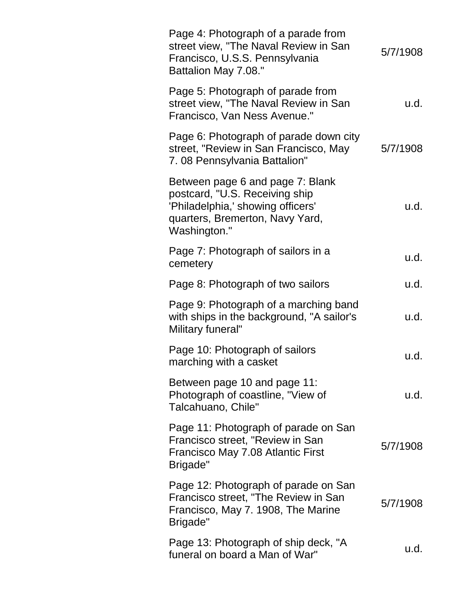| Page 4: Photograph of a parade from<br>street view, "The Naval Review in San<br>Francisco, U.S.S. Pennsylvania<br>Battalion May 7.08."                     | 5/7/1908 |
|------------------------------------------------------------------------------------------------------------------------------------------------------------|----------|
| Page 5: Photograph of parade from<br>street view, "The Naval Review in San<br>Francisco, Van Ness Avenue."                                                 | u.d.     |
| Page 6: Photograph of parade down city<br>street, "Review in San Francisco, May<br>7.08 Pennsylvania Battalion"                                            | 5/7/1908 |
| Between page 6 and page 7: Blank<br>postcard, "U.S. Receiving ship<br>'Philadelphia,' showing officers'<br>quarters, Bremerton, Navy Yard,<br>Washington." | u.d.     |
| Page 7: Photograph of sailors in a<br>cemetery                                                                                                             | u.d.     |
| Page 8: Photograph of two sailors                                                                                                                          | u.d.     |
| Page 9: Photograph of a marching band<br>with ships in the background, "A sailor's<br>Military funeral"                                                    | u.d.     |
| Page 10: Photograph of sailors<br>marching with a casket                                                                                                   | u.d.     |
| Between page 10 and page 11:<br>Photograph of coastline, "View of<br>Talcahuano, Chile"                                                                    | u.d.     |
| Page 11: Photograph of parade on San<br>Francisco street, "Review in San<br>Francisco May 7.08 Atlantic First<br>Brigade"                                  | 5/7/1908 |
| Page 12: Photograph of parade on San<br>Francisco street, "The Review in San<br>Francisco, May 7. 1908, The Marine<br>Brigade"                             | 5/7/1908 |
| Page 13: Photograph of ship deck, "A<br>funeral on board a Man of War"                                                                                     | u.d.     |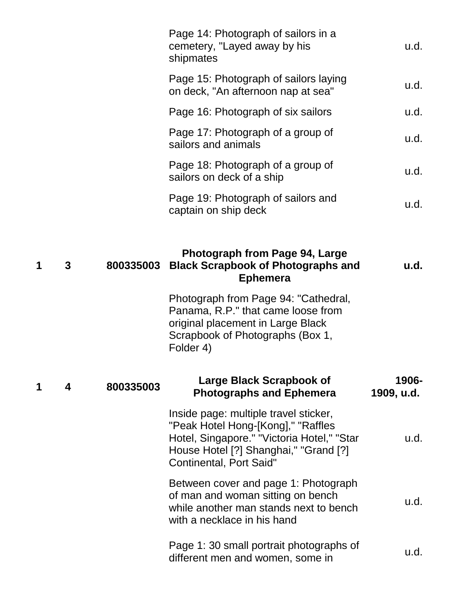|   |           | Page 14: Photograph of sailors in a<br>cemetery, "Layed away by his<br>shipmates                                                                                                                     | u.d.                |
|---|-----------|------------------------------------------------------------------------------------------------------------------------------------------------------------------------------------------------------|---------------------|
|   |           | Page 15: Photograph of sailors laying<br>on deck, "An afternoon nap at sea"                                                                                                                          | u.d.                |
|   |           | Page 16: Photograph of six sailors                                                                                                                                                                   | u.d.                |
|   |           | Page 17: Photograph of a group of<br>sailors and animals                                                                                                                                             | u.d.                |
|   |           | Page 18: Photograph of a group of<br>sailors on deck of a ship                                                                                                                                       | u.d.                |
|   |           | Page 19: Photograph of sailors and<br>captain on ship deck                                                                                                                                           | u.d.                |
|   |           |                                                                                                                                                                                                      |                     |
| 3 | 800335003 | Photograph from Page 94, Large<br><b>Black Scrapbook of Photographs and</b><br><b>Ephemera</b>                                                                                                       | u.d.                |
|   |           | Photograph from Page 94: "Cathedral,<br>Panama, R.P." that came loose from<br>original placement in Large Black<br>Scrapbook of Photographs (Box 1,<br>Folder 4)                                     |                     |
| 4 | 800335003 | Large Black Scrapbook of<br><b>Photographs and Ephemera</b>                                                                                                                                          | 1906-<br>1909, u.d. |
|   |           | Inside page: multiple travel sticker,<br>"Peak Hotel Hong-[Kong]," "Raffles<br>Hotel, Singapore." "Victoria Hotel," "Star<br>House Hotel [?] Shanghai," "Grand [?]<br><b>Continental, Port Said"</b> | u.d.                |
|   |           | Between cover and page 1: Photograph<br>of man and woman sitting on bench<br>while another man stands next to bench<br>with a necklace in his hand                                                   | u.d.                |
|   |           | Page 1: 30 small portrait photographs of<br>different men and women, some in                                                                                                                         | u.d.                |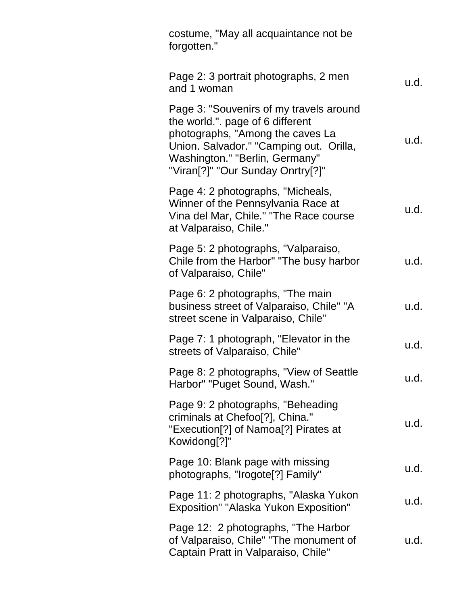| costume, "May all acquaintance not be<br>forgotten."                                                                                                                                                                                                      |      |
|-----------------------------------------------------------------------------------------------------------------------------------------------------------------------------------------------------------------------------------------------------------|------|
| Page 2: 3 portrait photographs, 2 men<br>and 1 woman                                                                                                                                                                                                      | u.d. |
| Page 3: "Souvenirs of my travels around<br>the world.". page of 6 different<br>photographs, "Among the caves La<br>Union. Salvador." "Camping out. Orilla,<br>Washington." "Berlin, Germany"<br>"Viran <sup>[?]"</sup> "Our Sunday Onrtry <sup>[?]"</sup> | u.d. |
| Page 4: 2 photographs, "Micheals,<br>Winner of the Pennsylvania Race at<br>Vina del Mar, Chile." "The Race course<br>at Valparaiso, Chile."                                                                                                               | u.d. |
| Page 5: 2 photographs, "Valparaiso,<br>Chile from the Harbor" "The busy harbor<br>of Valparaiso, Chile"                                                                                                                                                   | u.d. |
| Page 6: 2 photographs, "The main"<br>business street of Valparaiso, Chile" "A<br>street scene in Valparaiso, Chile"                                                                                                                                       | u.d. |
| Page 7: 1 photograph, "Elevator in the<br>streets of Valparaiso, Chile"                                                                                                                                                                                   | u.d. |
| Page 8: 2 photographs, "View of Seattle"<br>Harbor" "Puget Sound, Wash."                                                                                                                                                                                  | u.d. |
| Page 9: 2 photographs, "Beheading<br>criminals at Chefoo <sup>[?]</sup> , China."<br>"Execution[?] of Namoa[?] Pirates at<br>Kowidong[?]"                                                                                                                 | u.d. |
| Page 10: Blank page with missing<br>photographs, "Irogote[?] Family"                                                                                                                                                                                      | u.d. |
| Page 11: 2 photographs, "Alaska Yukon<br><b>Exposition" "Alaska Yukon Exposition"</b>                                                                                                                                                                     | u.d. |
| Page 12: 2 photographs, "The Harbor"<br>of Valparaiso, Chile" "The monument of<br>Captain Pratt in Valparaiso, Chile"                                                                                                                                     | u.d. |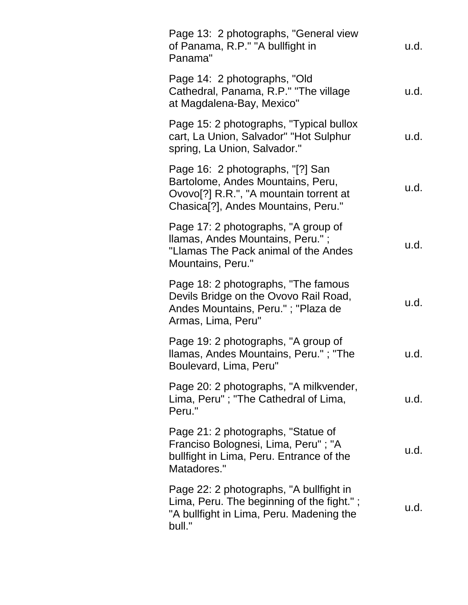| Page 13: 2 photographs, "General view<br>of Panama, R.P." "A bullfight in<br>Panama"                                                                                | u.d. |
|---------------------------------------------------------------------------------------------------------------------------------------------------------------------|------|
| Page 14: 2 photographs, "Old<br>Cathedral, Panama, R.P." "The village<br>at Magdalena-Bay, Mexico"                                                                  | u.d. |
| Page 15: 2 photographs, "Typical bullox<br>cart, La Union, Salvador" "Hot Sulphur<br>spring, La Union, Salvador."                                                   | u.d. |
| Page 16: 2 photographs, "[?] San<br>Bartolome, Andes Mountains, Peru,<br>Ovovo[?] R.R.", "A mountain torrent at<br>Chasica <sup>[?]</sup> , Andes Mountains, Peru." | u.d. |
| Page 17: 2 photographs, "A group of<br>Ilamas, Andes Mountains, Peru.";<br>"Llamas The Pack animal of the Andes<br>Mountains, Peru."                                | u.d. |
| Page 18: 2 photographs, "The famous"<br>Devils Bridge on the Ovovo Rail Road,<br>Andes Mountains, Peru."; "Plaza de<br>Armas, Lima, Peru"                           | u.d. |
| Page 19: 2 photographs, "A group of<br>Ilamas, Andes Mountains, Peru."; "The<br>Boulevard, Lima, Peru"                                                              | u.d. |
| Page 20: 2 photographs, "A milkvender,<br>Lima, Peru"; "The Cathedral of Lima,<br>Peru."                                                                            | u.d. |
| Page 21: 2 photographs, "Statue of<br>Franciso Bolognesi, Lima, Peru"; "A<br>bullfight in Lima, Peru. Entrance of the<br>Matadores."                                | u.d. |
| Page 22: 2 photographs, "A bullfight in<br>Lima, Peru. The beginning of the fight.";<br>"A bullfight in Lima, Peru. Madening the<br>bull."                          | u.d. |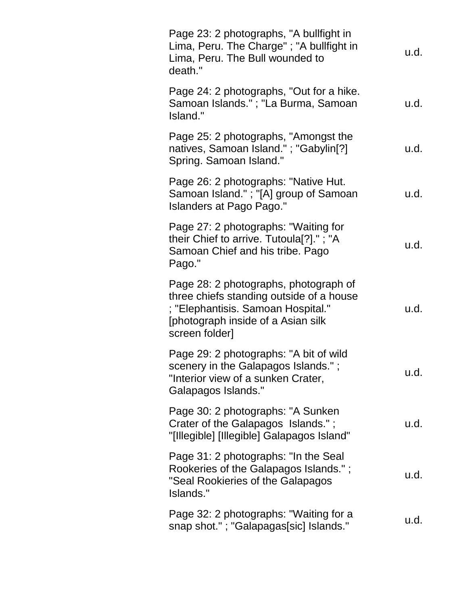| Page 23: 2 photographs, "A bullfight in<br>Lima, Peru. The Charge"; "A bullfight in<br>Lima, Peru. The Bull wounded to<br>death."                                                | u.d. |
|----------------------------------------------------------------------------------------------------------------------------------------------------------------------------------|------|
| Page 24: 2 photographs, "Out for a hike.<br>Samoan Islands."; "La Burma, Samoan<br>Island."                                                                                      | u.d. |
| Page 25: 2 photographs, "Amongst the<br>natives, Samoan Island."; "Gabylin[?]<br>Spring. Samoan Island."                                                                         | u.d. |
| Page 26: 2 photographs: "Native Hut.<br>Samoan Island." ; "[A] group of Samoan<br>Islanders at Pago Pago."                                                                       | u.d. |
| Page 27: 2 photographs: "Waiting for<br>their Chief to arrive. Tutoula[?]."; "A<br>Samoan Chief and his tribe. Pago<br>Pago."                                                    | u.d. |
| Page 28: 2 photographs, photograph of<br>three chiefs standing outside of a house<br>; "Elephantisis. Samoan Hospital."<br>[photograph inside of a Asian silk]<br>screen folder] | u.d. |
| Page 29: 2 photographs: "A bit of wild<br>scenery in the Galapagos Islands.";<br>"Interior view of a sunken Crater,<br>Galapagos Islands."                                       | u.d. |
| Page 30: 2 photographs: "A Sunken<br>Crater of the Galapagos Islands.";<br>"[Illegible] [Illegible] Galapagos Island"                                                            | u.d. |
| Page 31: 2 photographs: "In the Seal<br>Rookeries of the Galapagos Islands.";<br>"Seal Rookieries of the Galapagos<br>Islands."                                                  | u.d. |
| Page 32: 2 photographs: "Waiting for a<br>snap shot."; "Galapagas[sic] Islands."                                                                                                 | u.d. |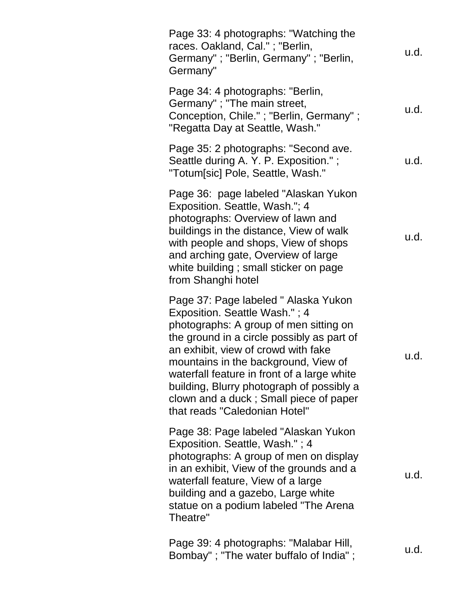| Page 33: 4 photographs: "Watching the<br>races. Oakland, Cal."; "Berlin,<br>Germany"; "Berlin, Germany"; "Berlin,<br>Germany"                                                                                                                                                                                                                                                                                       | u.d. |
|---------------------------------------------------------------------------------------------------------------------------------------------------------------------------------------------------------------------------------------------------------------------------------------------------------------------------------------------------------------------------------------------------------------------|------|
| Page 34: 4 photographs: "Berlin,<br>Germany" ; "The main street,<br>Conception, Chile."; "Berlin, Germany";<br>"Regatta Day at Seattle, Wash."                                                                                                                                                                                                                                                                      | u.d. |
| Page 35: 2 photographs: "Second ave.<br>Seattle during A. Y. P. Exposition.";<br>"Totum[sic] Pole, Seattle, Wash."                                                                                                                                                                                                                                                                                                  | u.d. |
| Page 36: page labeled "Alaskan Yukon<br>Exposition. Seattle, Wash."; 4<br>photographs: Overview of lawn and<br>buildings in the distance, View of walk<br>with people and shops, View of shops<br>and arching gate, Overview of large<br>white building; small sticker on page<br>from Shanghi hotel                                                                                                                | u.d. |
| Page 37: Page labeled " Alaska Yukon<br>Exposition. Seattle Wash."; 4<br>photographs: A group of men sitting on<br>the ground in a circle possibly as part of<br>an exhibit, view of crowd with fake<br>mountains in the background, View of<br>waterfall feature in front of a large white<br>building, Blurry photograph of possibly a<br>clown and a duck; Small piece of paper<br>that reads "Caledonian Hotel" | u.d. |
| Page 38: Page labeled "Alaskan Yukon<br>Exposition. Seattle, Wash."; 4<br>photographs: A group of men on display<br>in an exhibit, View of the grounds and a<br>waterfall feature, View of a large<br>building and a gazebo, Large white<br>statue on a podium labeled "The Arena<br>Theatre"                                                                                                                       | u.d. |
| Page 39: 4 photographs: "Malabar Hill,<br>Bombay"; "The water buffalo of India";                                                                                                                                                                                                                                                                                                                                    | u.d. |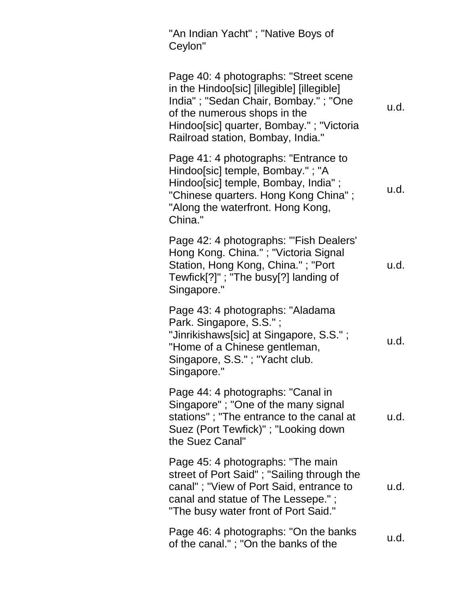"An Indian Yacht" ; "Native Boys of Ceylon"

Page 40: 4 photographs: "Street scene in the Hindoo[sic] [illegible] [illegible] India" ; "Sedan Chair, Bombay." ; "One of the numerous shops in the Hindoo[sic] quarter, Bombay." ; "Victoria Railroad station, Bombay, India." u.d. Page 41: 4 photographs: "Entrance to Hindoo[sic] temple, Bombay." ; "A Hindoo[sic] temple, Bombay, India" ; "Chinese quarters. Hong Kong China" ; "Along the waterfront. Hong Kong, China." u.d. Page 42: 4 photographs: "'Fish Dealers' Hong Kong. China." ; "Victoria Signal Station, Hong Kong, China." ; "Port Tewfick[?]" ; "The busy[?] landing of Singapore." u.d. Page 43: 4 photographs: "Aladama Park. Singapore, S.S." ; "Jinrikishaws[sic] at Singapore, S.S." ; "Home of a Chinese gentleman, Singapore, S.S." ; "Yacht club. Singapore." u.d. Page 44: 4 photographs: "Canal in Singapore" ; "One of the many signal stations" ; "The entrance to the canal at Suez (Port Tewfick)" ; "Looking down the Suez Canal" u.d. Page 45: 4 photographs: "The main street of Port Said" ; "Sailing through the canal" ; "View of Port Said, entrance to canal and statue of The Lessepe." ; "The busy water front of Port Said." u.d. Page 46: 4 photographs: "On the banks  $\frac{1}{2}$  age 40. 4 photographs. On the banks  $\frac{1}{2}$  u.d.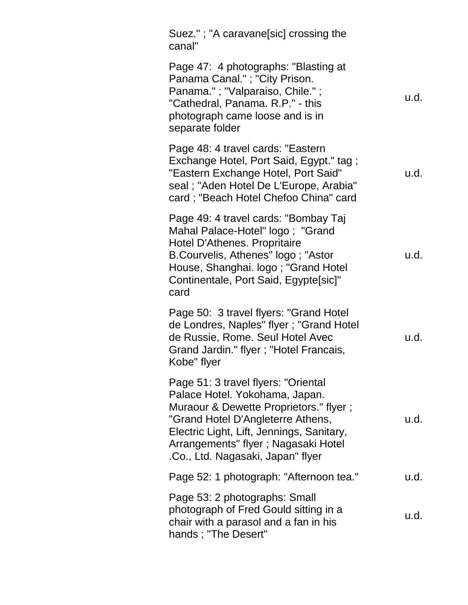| Suez."; "A caravane[sic] crossing the<br>canal"                                                                                                                                                                                                                                |      |
|--------------------------------------------------------------------------------------------------------------------------------------------------------------------------------------------------------------------------------------------------------------------------------|------|
| Page 47: 4 photographs: "Blasting at<br>Panama Canal."; "City Prison.<br>Panama."; "Valparaiso, Chile.";<br>"Cathedral, Panama. R.P." - this<br>photograph came loose and is in<br>separate folder                                                                             | u.d. |
| Page 48: 4 travel cards: "Eastern<br>Exchange Hotel, Port Said, Egypt." tag;<br>"Eastern Exchange Hotel, Port Said"<br>seal; "Aden Hotel De L'Europe, Arabia"<br>card; "Beach Hotel Chefoo China" card                                                                         | u.d. |
| Page 49: 4 travel cards: "Bombay Taj<br>Mahal Palace-Hotel" logo; "Grand<br>Hotel D'Athenes. Propritaire<br>B.Courvelis, Athenes" logo; "Astor<br>House, Shanghai. logo; "Grand Hotel<br>Continentale, Port Said, Egypte[sic]"<br>card                                         | u.d. |
| Page 50: 3 travel flyers: "Grand Hotel<br>de Londres, Naples" flyer; "Grand Hotel<br>de Russie, Rome. Seul Hotel Avec<br>Grand Jardin." flyer; "Hotel Francais,<br>Kobe" flyer                                                                                                 | u.d. |
| Page 51: 3 travel flyers: "Oriental<br>Palace Hotel. Yokohama, Japan.<br>Muraour & Dewette Proprietors." flyer;<br>"Grand Hotel D'Angleterre Athens,<br>Electric Light, Lift, Jennings, Sanitary,<br>Arrangements" flyer ; Nagasaki Hotel<br>.Co., Ltd. Nagasaki, Japan" flyer | u.d. |
| Page 52: 1 photograph: "Afternoon tea."                                                                                                                                                                                                                                        | u.d. |
| Page 53: 2 photographs: Small<br>photograph of Fred Gould sitting in a<br>chair with a parasol and a fan in his<br>hands; "The Desert"                                                                                                                                         | u.d. |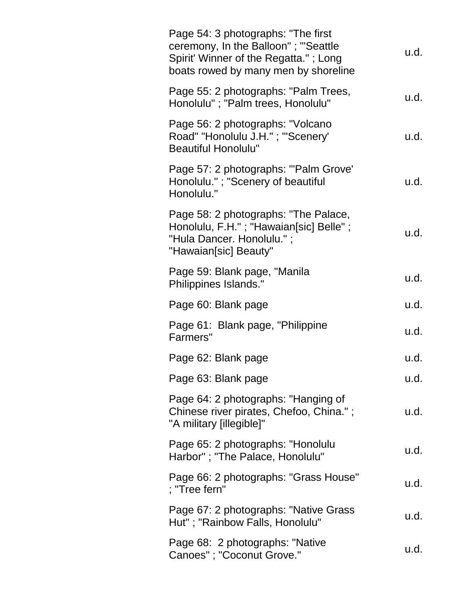| Page 54: 3 photographs: "The first<br>ceremony, In the Balloon"; "Seattle<br>Spirit' Winner of the Regatta."; Long<br>boats rowed by many men by shoreline | u.d. |
|------------------------------------------------------------------------------------------------------------------------------------------------------------|------|
| Page 55: 2 photographs: "Palm Trees,<br>Honolulu"; "Palm trees, Honolulu"                                                                                  | u.d. |
| Page 56: 2 photographs: "Volcano<br>Road" "Honolulu J.H."; "'Scenery'<br><b>Beautiful Honolulu"</b>                                                        | u.d. |
| Page 57: 2 photographs: "'Palm Grove'<br>Honolulu."; "Scenery of beautiful<br>Honolulu."                                                                   | u.d. |
| Page 58: 2 photographs: "The Palace,<br>Honolulu, F.H."; "Hawaian[sic] Belle";<br>"Hula Dancer. Honolulu.";<br>"Hawaian[sic] Beauty"                       | u.d. |
| Page 59: Blank page, "Manila<br>Philippines Islands."                                                                                                      | u.d. |
| Page 60: Blank page                                                                                                                                        | u.d. |
| Page 61: Blank page, "Philippine<br>Farmers"                                                                                                               | u.d. |
| Page 62: Blank page                                                                                                                                        | u.d. |
| Page 63: Blank page                                                                                                                                        | u.d. |
| Page 64: 2 photographs: "Hanging of<br>Chinese river pirates, Chefoo, China.";<br>"A military [illegible]"                                                 | u.d. |
| Page 65: 2 photographs: "Honolulu<br>Harbor"; "The Palace, Honolulu"                                                                                       | u.d. |
| Page 66: 2 photographs: "Grass House"<br>; "Tree fern"                                                                                                     | u.d. |
| Page 67: 2 photographs: "Native Grass"<br>Hut"; "Rainbow Falls, Honolulu"                                                                                  | u.d. |
| Page 68: 2 photographs: "Native"<br>Canoes"; "Coconut Grove."                                                                                              | u.d. |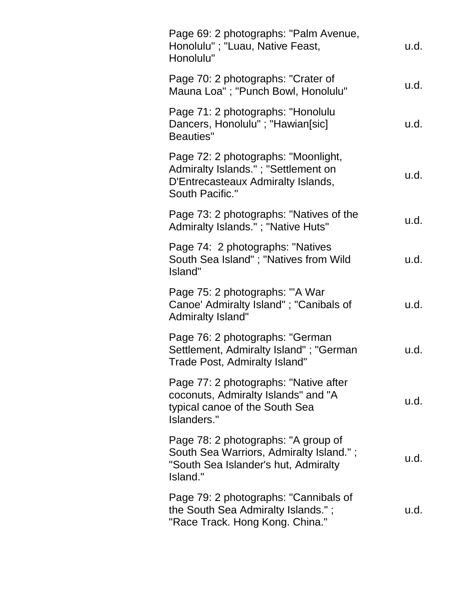| Page 69: 2 photographs: "Palm Avenue,<br>Honolulu"; "Luau, Native Feast,<br>Honolulu"                                               | u.d. |
|-------------------------------------------------------------------------------------------------------------------------------------|------|
| Page 70: 2 photographs: "Crater of<br>Mauna Loa"; "Punch Bowl, Honolulu"                                                            | u.d. |
| Page 71: 2 photographs: "Honolulu<br>Dancers, Honolulu"; "Hawian[sic]<br><b>Beauties"</b>                                           | u.d. |
| Page 72: 2 photographs: "Moonlight,<br>Admiralty Islands."; "Settlement on<br>D'Entrecasteaux Admiralty Islands,<br>South Pacific." | u.d. |
| Page 73: 2 photographs: "Natives of the<br>Admiralty Islands."; "Native Huts"                                                       | u.d. |
| Page 74: 2 photographs: "Natives<br>South Sea Island"; "Natives from Wild<br>Island"                                                | u.d. |
| Page 75: 2 photographs: "A War<br>Canoe' Admiralty Island"; "Canibals of<br><b>Admiralty Island"</b>                                | u.d. |
| Page 76: 2 photographs: "German<br>Settlement, Admiralty Island"; "German<br>Trade Post, Admiralty Island"                          | u.d. |
| Page 77: 2 photographs: "Native after<br>coconuts, Admiralty Islands" and "A<br>typical canoe of the South Sea<br>Islanders."       | u.d. |
| Page 78: 2 photographs: "A group of<br>South Sea Warriors, Admiralty Island.";<br>"South Sea Islander's hut, Admiralty<br>Island."  | u.d. |
| Page 79: 2 photographs: "Cannibals of<br>the South Sea Admiralty Islands.";<br>"Race Track. Hong Kong. China."                      | u.d. |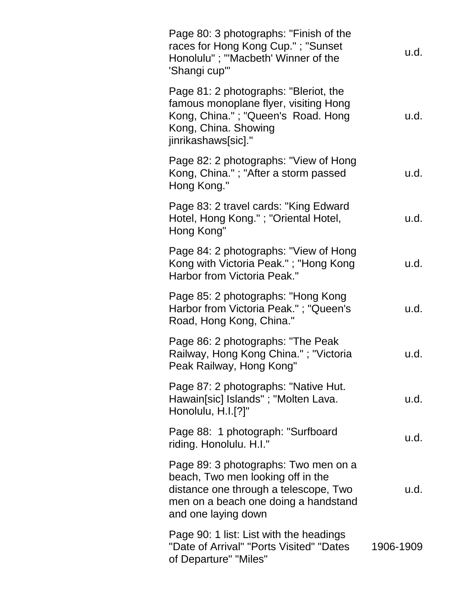| Page 80: 3 photographs: "Finish of the<br>races for Hong Kong Cup."; "Sunset<br>Honolulu"; "'Macbeth' Winner of the<br>'Shangi cup'"                                              | u.d.      |
|-----------------------------------------------------------------------------------------------------------------------------------------------------------------------------------|-----------|
| Page 81: 2 photographs: "Bleriot, the<br>famous monoplane flyer, visiting Hong<br>Kong, China."; "Queen's Road. Hong<br>Kong, China. Showing<br>jinrikashaws[sic]."               | u.d.      |
| Page 82: 2 photographs: "View of Hong<br>Kong, China."; "After a storm passed<br>Hong Kong."                                                                                      | u.d.      |
| Page 83: 2 travel cards: "King Edward<br>Hotel, Hong Kong."; "Oriental Hotel,<br>Hong Kong"                                                                                       | u.d.      |
| Page 84: 2 photographs: "View of Hong<br>Kong with Victoria Peak."; "Hong Kong<br>Harbor from Victoria Peak."                                                                     | u.d.      |
| Page 85: 2 photographs: "Hong Kong<br>Harbor from Victoria Peak."; "Queen's<br>Road, Hong Kong, China."                                                                           | u.d.      |
| Page 86: 2 photographs: "The Peak<br>Railway, Hong Kong China."; "Victoria<br>Peak Railway, Hong Kong"                                                                            | u.d.      |
| Page 87: 2 photographs: "Native Hut.<br>Hawain[sic] Islands"; "Molten Lava.<br>Honolulu, H.I.[?]"                                                                                 | u.d.      |
| Page 88: 1 photograph: "Surfboard<br>riding. Honolulu. H.I."                                                                                                                      | u.d.      |
| Page 89: 3 photographs: Two men on a<br>beach, Two men looking off in the<br>distance one through a telescope, Two<br>men on a beach one doing a handstand<br>and one laying down | u.d.      |
| Page 90: 1 list: List with the headings<br>"Date of Arrival" "Ports Visited" "Dates<br>of Departure" "Miles"                                                                      | 1906-1909 |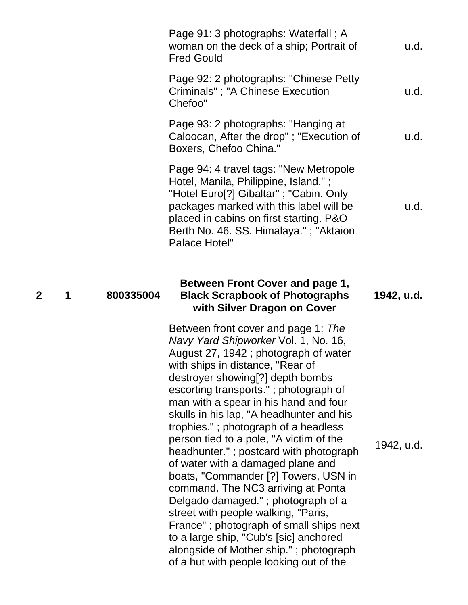|              |   |           | Page 91: 3 photographs: Waterfall; A<br>woman on the deck of a ship; Portrait of<br><b>Fred Gould</b>                                                                                                                                                                                                                                                                                                                                                                                                                                                                                                                                                                                                                                                                                 | u.d.       |
|--------------|---|-----------|---------------------------------------------------------------------------------------------------------------------------------------------------------------------------------------------------------------------------------------------------------------------------------------------------------------------------------------------------------------------------------------------------------------------------------------------------------------------------------------------------------------------------------------------------------------------------------------------------------------------------------------------------------------------------------------------------------------------------------------------------------------------------------------|------------|
|              |   |           | Page 92: 2 photographs: "Chinese Petty<br>Criminals"; "A Chinese Execution<br>Chefoo"                                                                                                                                                                                                                                                                                                                                                                                                                                                                                                                                                                                                                                                                                                 | u.d.       |
|              |   |           | Page 93: 2 photographs: "Hanging at<br>Caloocan, After the drop"; "Execution of<br>Boxers, Chefoo China."                                                                                                                                                                                                                                                                                                                                                                                                                                                                                                                                                                                                                                                                             | u.d.       |
|              |   |           | Page 94: 4 travel tags: "New Metropole<br>Hotel, Manila, Philippine, Island.";<br>"Hotel Euro[?] Gibaltar"; "Cabin. Only<br>packages marked with this label will be<br>placed in cabins on first starting. P&O<br>Berth No. 46. SS. Himalaya."; "Aktaion<br><b>Palace Hotel"</b>                                                                                                                                                                                                                                                                                                                                                                                                                                                                                                      | u.d.       |
| $\mathbf{2}$ | 1 | 800335004 | Between Front Cover and page 1,<br><b>Black Scrapbook of Photographs</b><br>with Silver Dragon on Cover                                                                                                                                                                                                                                                                                                                                                                                                                                                                                                                                                                                                                                                                               | 1942, u.d. |
|              |   |           | Between front cover and page 1: The<br>Navy Yard Shipworker Vol. 1, No. 16,<br>August 27, 1942; photograph of water<br>with ships in distance, "Rear of<br>destroyer showing[?] depth bombs<br>escorting transports."; photograph of<br>man with a spear in his hand and four<br>skulls in his lap, "A headhunter and his<br>trophies."; photograph of a headless<br>person tied to a pole, "A victim of the<br>headhunter."; postcard with photograph<br>of water with a damaged plane and<br>boats, "Commander [?] Towers, USN in<br>command. The NC3 arriving at Ponta<br>Delgado damaged."; photograph of a<br>street with people walking, "Paris,<br>France"; photograph of small ships next<br>to a large ship, "Cub's [sic] anchored<br>alongside of Mother ship."; photograph | 1942, u.d. |

of a hut with people looking out of the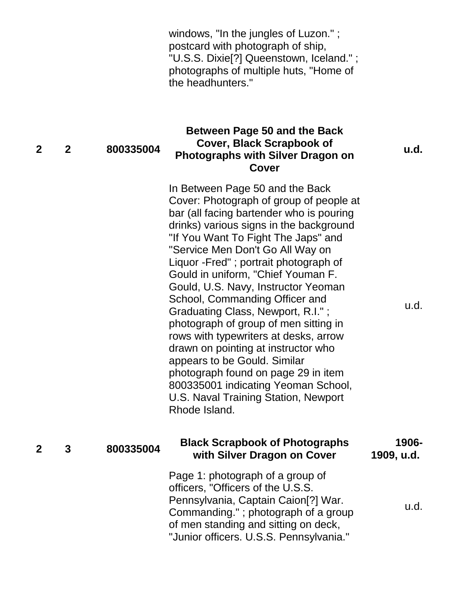windows, "In the jungles of Luzon." ; postcard with photograph of ship, "U.S.S. Dixie[?] Queenstown, Iceland." ; photographs of multiple huts, "Home of the headhunters."

#### **2 2 800335004 Between Page 50 and the Back Cover, Black Scrapbook of Photographs with Silver Dragon on Cover**

**u.d.**

u.d.

In Between Page 50 and the Back Cover: Photograph of group of people at bar (all facing bartender who is pouring drinks) various signs in the background "If You Want To Fight The Japs" and "Service Men Don't Go All Way on Liquor -Fred" ; portrait photograph of Gould in uniform, "Chief Youman F. Gould, U.S. Navy, Instructor Yeoman School, Commanding Officer and Graduating Class, Newport, R.I." ; photograph of group of men sitting in rows with typewriters at desks, arrow drawn on pointing at instructor who appears to be Gould. Similar photograph found on page 29 in item 800335001 indicating Yeoman School, U.S. Naval Training Station, Newport Rhode Island.

#### **<sup>2</sup> <sup>3</sup> <sup>800335004</sup> Black Scrapbook of Photographs with Silver Dragon on Cover 1906- 1909, u.d.** Page 1: photograph of a group of officers, "Officers of the U.S.S. Pennsylvania, Captain Caion[?] War. Commanding." ; photograph of a group of men standing and sitting on deck, u.d.

"Junior officers. U.S.S. Pennsylvania."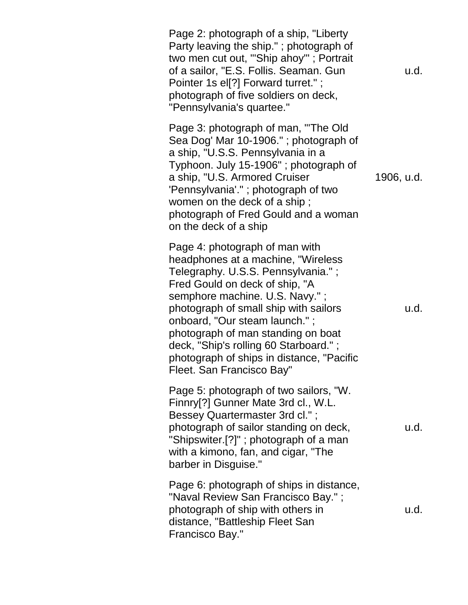Page 2: photograph of a ship, "Liberty Party leaving the ship." ; photograph of two men cut out, "'Ship ahoy'" ; Portrait of a sailor, "E.S. Follis. Seaman. Gun Pointer 1s el<sup>[?]</sup> Forward turret." ; photograph of five soldiers on deck, "Pennsylvania's quartee." u.d. Page 3: photograph of man, "'The Old Sea Dog' Mar 10-1906." ; photograph of a ship, "U.S.S. Pennsylvania in a Typhoon. July 15-1906" ; photograph of a ship, "U.S. Armored Cruiser 'Pennsylvania'." ; photograph of two women on the deck of a ship ; photograph of Fred Gould and a woman on the deck of a ship 1906, u.d. Page 4: photograph of man with headphones at a machine, "Wireless Telegraphy. U.S.S. Pennsylvania." ; Fred Gould on deck of ship, "A semphore machine. U.S. Navy."; photograph of small ship with sailors onboard, "Our steam launch." ; photograph of man standing on boat deck, "Ship's rolling 60 Starboard." ; photograph of ships in distance, "Pacific Fleet. San Francisco Bay" u.d. Page 5: photograph of two sailors, "W. Finnry[?] Gunner Mate 3rd cl., W.L. Bessey Quartermaster 3rd cl." ; photograph of sailor standing on deck, "Shipswiter.[?]" ; photograph of a man with a kimono, fan, and cigar, "The barber in Disguise." u.d. Page 6: photograph of ships in distance, "Naval Review San Francisco Bay." ; photograph of ship with others in distance, "Battleship Fleet San Francisco Bay." u.d.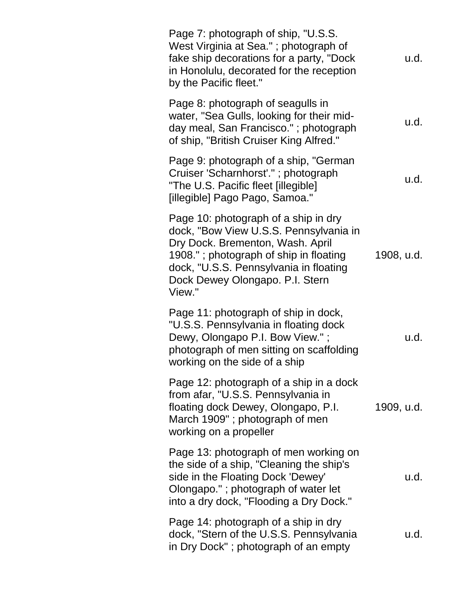| Page 7: photograph of ship, "U.S.S.<br>West Virginia at Sea."; photograph of<br>fake ship decorations for a party, "Dock<br>in Honolulu, decorated for the reception<br>by the Pacific fleet."                                                      | u.d.       |
|-----------------------------------------------------------------------------------------------------------------------------------------------------------------------------------------------------------------------------------------------------|------------|
| Page 8: photograph of seagulls in<br>water, "Sea Gulls, looking for their mid-<br>day meal, San Francisco."; photograph<br>of ship, "British Cruiser King Alfred."                                                                                  | u.d.       |
| Page 9: photograph of a ship, "German"<br>Cruiser 'Scharnhorst'."; photograph<br>"The U.S. Pacific fleet [illegible]<br>[illegible] Pago Pago, Samoa."                                                                                              | u.d.       |
| Page 10: photograph of a ship in dry<br>dock, "Bow View U.S.S. Pennsylvania in<br>Dry Dock. Brementon, Wash. April<br>1908."; photograph of ship in floating<br>dock, "U.S.S. Pennsylvania in floating<br>Dock Dewey Olongapo. P.I. Stern<br>View." | 1908, u.d. |
| Page 11: photograph of ship in dock,<br>"U.S.S. Pennsylvania in floating dock<br>Dewy, Olongapo P.I. Bow View.";<br>photograph of men sitting on scaffolding<br>working on the side of a ship                                                       | u.d.       |
| Page 12: photograph of a ship in a dock<br>from afar, "U.S.S. Pennsylvania in<br>floating dock Dewey, Olongapo, P.I.<br>March 1909"; photograph of men<br>working on a propeller                                                                    | 1909, u.d. |
| Page 13: photograph of men working on<br>the side of a ship, "Cleaning the ship's<br>side in the Floating Dock 'Dewey'<br>Olongapo."; photograph of water let<br>into a dry dock, "Flooding a Dry Dock."                                            | u.d.       |
| Page 14: photograph of a ship in dry<br>dock, "Stern of the U.S.S. Pennsylvania<br>in Dry Dock"; photograph of an empty                                                                                                                             | u.d.       |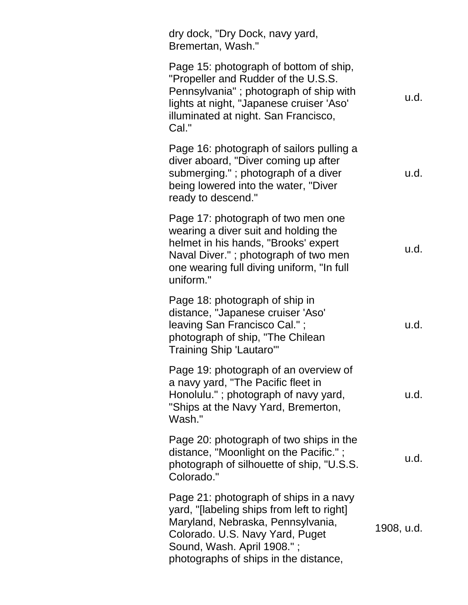| dry dock, "Dry Dock, navy yard,<br>Bremertan, Wash."                                                                                                                                                                                |            |
|-------------------------------------------------------------------------------------------------------------------------------------------------------------------------------------------------------------------------------------|------------|
| Page 15: photograph of bottom of ship,<br>"Propeller and Rudder of the U.S.S.<br>Pennsylvania"; photograph of ship with<br>lights at night, "Japanese cruiser 'Aso'<br>illuminated at night. San Francisco,<br>Cal."                | u.d.       |
| Page 16: photograph of sailors pulling a<br>diver aboard, "Diver coming up after<br>submerging."; photograph of a diver<br>being lowered into the water, "Diver<br>ready to descend."                                               | u.d.       |
| Page 17: photograph of two men one<br>wearing a diver suit and holding the<br>helmet in his hands, "Brooks' expert<br>Naval Diver."; photograph of two men<br>one wearing full diving uniform, "In full<br>uniform."                | u.d.       |
| Page 18: photograph of ship in<br>distance, "Japanese cruiser 'Aso'<br>leaving San Francisco Cal.";<br>photograph of ship, "The Chilean<br><b>Training Ship 'Lautaro'"</b>                                                          | u.d.       |
| Page 19: photograph of an overview of<br>a navy yard, "The Pacific fleet in<br>Honolulu."; photograph of navy yard,<br>"Ships at the Navy Yard, Bremerton,<br>Wash."                                                                | u.d.       |
| Page 20: photograph of two ships in the<br>distance, "Moonlight on the Pacific.";<br>photograph of silhouette of ship, "U.S.S.<br>Colorado."                                                                                        | u.d.       |
| Page 21: photograph of ships in a navy<br>yard, "[labeling ships from left to right]<br>Maryland, Nebraska, Pennsylvania,<br>Colorado. U.S. Navy Yard, Puget<br>Sound, Wash. April 1908.";<br>photographs of ships in the distance, | 1908, u.d. |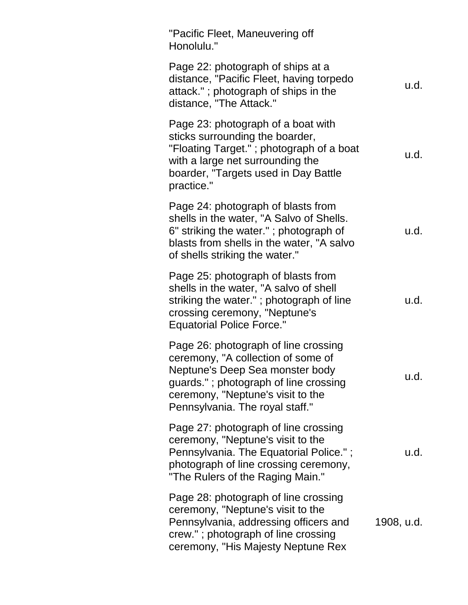| "Pacific Fleet, Maneuvering off<br>Honolulu."                                                                                                                                                                                  |            |
|--------------------------------------------------------------------------------------------------------------------------------------------------------------------------------------------------------------------------------|------------|
| Page 22: photograph of ships at a<br>distance, "Pacific Fleet, having torpedo<br>attack."; photograph of ships in the<br>distance, "The Attack."                                                                               | u.d.       |
| Page 23: photograph of a boat with<br>sticks surrounding the boarder,<br>"Floating Target." ; photograph of a boat<br>with a large net surrounding the<br>boarder, "Targets used in Day Battle<br>practice."                   | u.d.       |
| Page 24: photograph of blasts from<br>shells in the water, "A Salvo of Shells.<br>6" striking the water."; photograph of<br>blasts from shells in the water, "A salvo<br>of shells striking the water."                        | u.d.       |
| Page 25: photograph of blasts from<br>shells in the water, "A salvo of shell<br>striking the water."; photograph of line<br>crossing ceremony, "Neptune's<br><b>Equatorial Police Force."</b>                                  | u.d.       |
| Page 26: photograph of line crossing<br>ceremony, "A collection of some of<br>Neptune's Deep Sea monster body<br>guards."; photograph of line crossing<br>ceremony, "Neptune's visit to the<br>Pennsylvania. The royal staff." | u.d.       |
| Page 27: photograph of line crossing<br>ceremony, "Neptune's visit to the<br>Pennsylvania. The Equatorial Police.";<br>photograph of line crossing ceremony,<br>"The Rulers of the Raging Main."                               | u.d.       |
| Page 28: photograph of line crossing<br>ceremony, "Neptune's visit to the<br>Pennsylvania, addressing officers and<br>crew."; photograph of line crossing<br>ceremony, "His Majesty Neptune Rex                                | 1908, u.d. |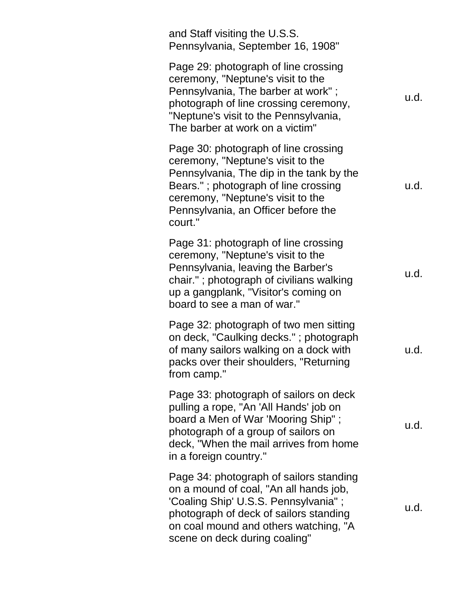| and Staff visiting the U.S.S.<br>Pennsylvania, September 16, 1908"                                                                                                                                                                                   |      |
|------------------------------------------------------------------------------------------------------------------------------------------------------------------------------------------------------------------------------------------------------|------|
| Page 29: photograph of line crossing<br>ceremony, "Neptune's visit to the<br>Pennsylvania, The barber at work";<br>photograph of line crossing ceremony,<br>"Neptune's visit to the Pennsylvania,<br>The barber at work on a victim"                 | u.d. |
| Page 30: photograph of line crossing<br>ceremony, "Neptune's visit to the<br>Pennsylvania, The dip in the tank by the<br>Bears."; photograph of line crossing<br>ceremony, "Neptune's visit to the<br>Pennsylvania, an Officer before the<br>court." | u.d. |
| Page 31: photograph of line crossing<br>ceremony, "Neptune's visit to the<br>Pennsylvania, leaving the Barber's<br>chair."; photograph of civilians walking<br>up a gangplank, "Visitor's coming on<br>board to see a man of war."                   | u.d. |
| Page 32: photograph of two men sitting<br>on deck, "Caulking decks."; photograph<br>of many sailors walking on a dock with<br>packs over their shoulders, "Returning<br>from camp."                                                                  | u.d. |
| Page 33: photograph of sailors on deck<br>pulling a rope, "An 'All Hands' job on<br>board a Men of War 'Mooring Ship";<br>photograph of a group of sailors on<br>deck, "When the mail arrives from home<br>in a foreign country."                    | u.d. |
| Page 34: photograph of sailors standing<br>on a mound of coal, "An all hands job,<br>'Coaling Ship' U.S.S. Pennsylvania";<br>photograph of deck of sailors standing<br>on coal mound and others watching, "A<br>scene on deck during coaling"        | u.d. |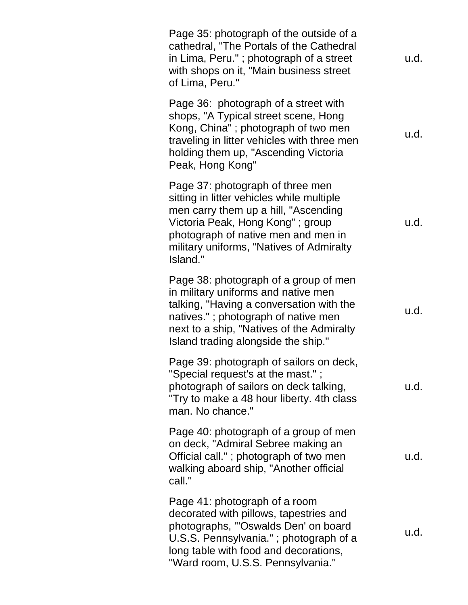| Page 35: photograph of the outside of a<br>cathedral, "The Portals of the Cathedral<br>in Lima, Peru."; photograph of a street<br>with shops on it, "Main business street<br>of Lima, Peru."                                                             | u.d. |
|----------------------------------------------------------------------------------------------------------------------------------------------------------------------------------------------------------------------------------------------------------|------|
| Page 36: photograph of a street with<br>shops, "A Typical street scene, Hong<br>Kong, China"; photograph of two men<br>traveling in litter vehicles with three men<br>holding them up, "Ascending Victoria<br>Peak, Hong Kong"                           | u.d. |
| Page 37: photograph of three men<br>sitting in litter vehicles while multiple<br>men carry them up a hill, "Ascending<br>Victoria Peak, Hong Kong"; group<br>photograph of native men and men in<br>military uniforms, "Natives of Admiralty<br>Island." | u.d. |
| Page 38: photograph of a group of men<br>in military uniforms and native men<br>talking, "Having a conversation with the<br>natives."; photograph of native men<br>next to a ship, "Natives of the Admiralty<br>Island trading alongside the ship."      | u.d. |
| Page 39: photograph of sailors on deck,<br>"Special request's at the mast.";<br>photograph of sailors on deck talking,<br>"Try to make a 48 hour liberty. 4th class<br>man. No chance."                                                                  | u.d. |
| Page 40: photograph of a group of men<br>on deck, "Admiral Sebree making an<br>Official call."; photograph of two men<br>walking aboard ship, "Another official<br>call."                                                                                | u.d. |
| Page 41: photograph of a room<br>decorated with pillows, tapestries and<br>photographs, "'Oswalds Den' on board<br>U.S.S. Pennsylvania."; photograph of a<br>long table with food and decorations,<br>"Ward room, U.S.S. Pennsylvania."                  | u.d. |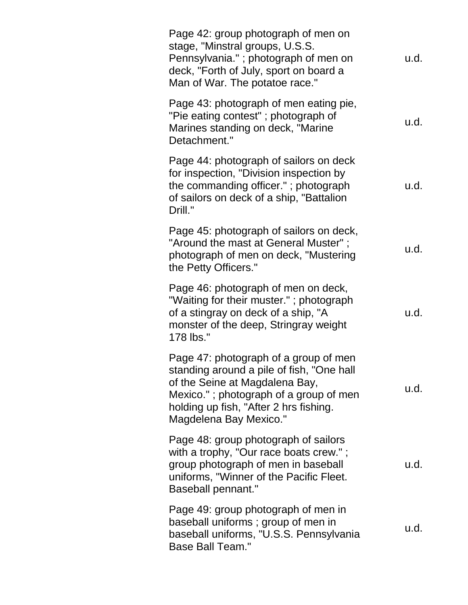| Page 42: group photograph of men on<br>stage, "Minstral groups, U.S.S.<br>Pennsylvania."; photograph of men on<br>deck, "Forth of July, sport on board a<br>Man of War. The potatoe race."                                         | u.d. |
|------------------------------------------------------------------------------------------------------------------------------------------------------------------------------------------------------------------------------------|------|
| Page 43: photograph of men eating pie,<br>"Pie eating contest"; photograph of<br>Marines standing on deck, "Marine<br>Detachment."                                                                                                 | u.d. |
| Page 44: photograph of sailors on deck<br>for inspection, "Division inspection by<br>the commanding officer."; photograph<br>of sailors on deck of a ship, "Battalion<br>Drill."                                                   | u.d. |
| Page 45: photograph of sailors on deck,<br>"Around the mast at General Muster";<br>photograph of men on deck, "Mustering<br>the Petty Officers."                                                                                   | u.d. |
| Page 46: photograph of men on deck,<br>"Waiting for their muster."; photograph<br>of a stingray on deck of a ship, "A<br>monster of the deep, Stringray weight<br>178 lbs."                                                        | u.d. |
| Page 47: photograph of a group of men<br>standing around a pile of fish, "One hall<br>of the Seine at Magdalena Bay,<br>Mexico."; photograph of a group of men<br>holding up fish, "After 2 hrs fishing.<br>Magdelena Bay Mexico." | u.d. |
| Page 48: group photograph of sailors<br>with a trophy, "Our race boats crew.";<br>group photograph of men in baseball<br>uniforms, "Winner of the Pacific Fleet.<br><b>Baseball pennant."</b>                                      | u.d. |
| Page 49: group photograph of men in<br>baseball uniforms; group of men in<br>baseball uniforms, "U.S.S. Pennsylvania<br><b>Base Ball Team."</b>                                                                                    | u.d. |